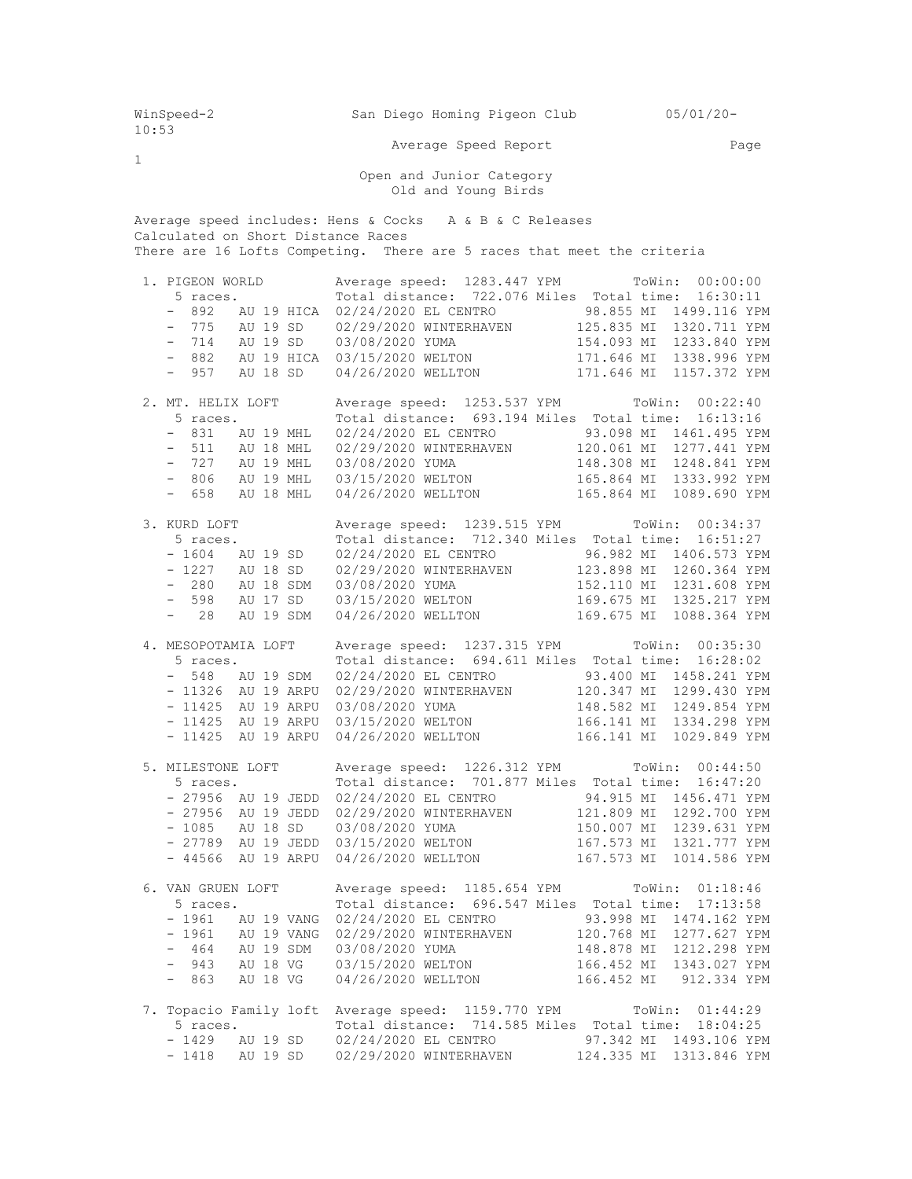WinSpeed-2 San Diego Homing Pigeon Club 05/01/20- 10:53 Average Speed Report Page 1 Open and Junior Category Old and Young Birds Average speed includes: Hens & Cocks A & B & C Releases Calculated on Short Distance Races There are 16 Lofts Competing. There are 5 races that meet the criteria 1. PIGEON WORLD Average speed: 1283.447 YPM ToWin: 00:00:00 5 races. Total distance: 722.076 Miles Total time: 16:30:11 - 892 AU 19 HICA 02/24/2020 EL CENTRO 98.855 MI 1499.116 YPM - 775 AU 19 SD 02/29/2020 WINTERHAVEN 125.835 MI 1320.711 YPM - 714 AU 19 SD 03/08/2020 YUMA 154.093 MI 1233.840 YPM - 882 AU 19 HICA 03/15/2020 WELTON 171.646 MI 1338.996 YPM - 957 AU 18 SD 04/26/2020 WELLTON 171.646 MI 1157.372 YPM 2. MT. HELIX LOFT Average speed: 1253.537 YPM ToWin: 00:22:40 5 races. Total distance: 693.194 Miles Total time: 16:13:16 - 831 AU 19 MHL 02/24/2020 EL CENTRO 93.098 MI 1461.495 YPM - 511 AU 18 MHL 02/29/2020 WINTERHAVEN 120.061 MI 1277.441 YPM - 727 AU 19 MHL 03/08/2020 YUMA 148.308 MI 1248.841 YPM - 806 AU 19 MHL 03/15/2020 WELTON 165.864 MI 1333.992 YPM - 658 AU 18 MHL 04/26/2020 WELLTON 165.864 MI 1089.690 YPM 3. KURD LOFT Average speed: 1239.515 YPM ToWin: 00:34:37 5 races. Total distance: 712.340 Miles Total time: 16:51:27 - 1604 AU 19 SD 02/24/2020 EL CENTRO 96.982 MI 1406.573 YPM - 1227 AU 18 SD 02/29/2020 WINTERHAVEN 123.898 MI 1260.364 YPM - 280 AU 18 SDM 03/08/2020 YUMA 152.110 MI 1231.608 YPM - 598 AU 17 SD 03/15/2020 WELTON 169.675 MI 1325.217 YPM - 28 AU 19 SDM 04/26/2020 WELLTON 169.675 MI 1088.364 YPM 4. MESOPOTAMIA LOFT Average speed: 1237.315 YPM ToWin: 00:35:30<br>5 races Total distance: 694.611 Miles Total time: 16:28:02 5 races. Total distance: 694.611 Miles Total time: 16:28:02 - 548 AU 19 SDM 02/24/2020 EL CENTRO 93.400 MI 1458.241 YPM - 11326 AU 19 ARPU 02/29/2020 WINTERHAVEN 120.347 MI 1299.430 YPM - 11425 AU 19 ARPU 03/08/2020 YUMA 148.582 MI 1249.854 YPM - 11425 AU 19 ARPU 03/15/2020 WELTON 166.141 MI 1334.298 YPM - 11425 AU 19 ARPU 04/26/2020 WELLTON 166.141 MI 1029.849 YPM 5. MILESTONE LOFT Average speed: 1226.312 YPM ToWin: 00:44:50 5 races. Total distance: 701.877 Miles Total time: 16:47:20 - 27956 AU 19 JEDD 02/24/2020 EL CENTRO 94.915 MI 1456.471 YPM - 27956 AU 19 JEDD 02/29/2020 WINTERHAVEN 121.809 MI 1292.700 YPM - 1085 AU 18 SD 03/08/2020 YUMA 150.007 MI 1239.631 YPM - 27789 AU 19 JEDD 03/15/2020 WELTON 167.573 MI 1321.777 YPM - 44566 AU 19 ARPU 04/26/2020 WELLTON 167.573 MI 1014.586 YPM 6. VAN GRUEN LOFT Average speed: 1185.654 YPM ToWin: 01:18:46 5 races. Total distance: 696.547 Miles Total time: 17:13:58 - 1961 AU 19 VANG 02/24/2020 EL CENTRO 93.998 MI 1474.162 YPM - 1961 AU 19 VANG 02/29/2020 WINTERHAVEN 120.768 MI 1277.627 YPM - 464 AU 19 SDM 03/08/2020 YUMA 148.878 MI 1212.298 YPM - 943 AU 18 VG 03/15/2020 WELTON 166.452 MI 1343.027 YPM - 863 AU 18 VG 04/26/2020 WELLTON 166.452 MI 912.334 YPM 7. Topacio Family loft Average speed: 1159.770 YPM ToWin: 01:44:29 5 races. Total distance: 714.585 Miles Total time: 18:04:25 - 1429 AU 19 SD 02/24/2020 EL CENTRO 97.342 MI 1493.106 YPM - 1418 AU 19 SD 02/29/2020 WINTERHAVEN 124.335 MI 1313.846 YPM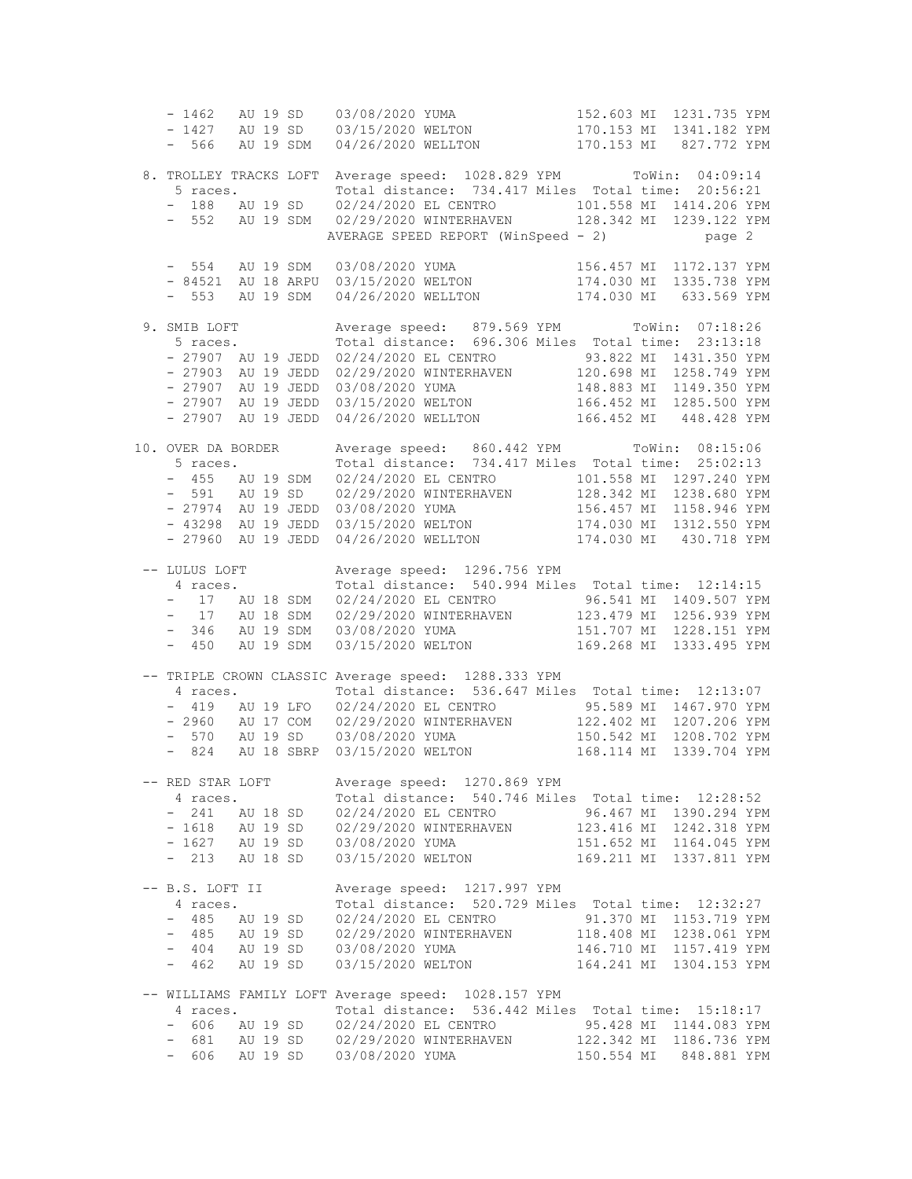- 1462 AU 19 SD 03/08/2020 YUMA 152.603 MI 1231.735 YPM - 1427 AU 19 SD 03/15/2020 WELTON 170.153 MI 1341.182 YPM - 566 AU 19 SDM 04/26/2020 WELLTON 170.153 MI 827.772 YPM 8. TROLLEY TRACKS LOFT Average speed: 1028.829 YPM ToWin: 04:09:14 5 races. Total distance: 734.417 Miles Total time: 20:56:21 - 188 AU 19 SD 02/24/2020 EL CENTRO 101.558 MI 1414.206 YPM - 552 AU 19 SDM 02/29/2020 WINTERHAVEN 128.342 MI 1239.122 YPM AVERAGE SPEED REPORT (WinSpeed - 2) page 2 - 554 AU 19 SDM 03/08/2020 YUMA 156.457 MI 1172.137 YPM - 84521 AU 18 ARPU 03/15/2020 WELTON 174.030 MI 1335.738 YPM - 553 AU 19 SDM 04/26/2020 WELLTON 174.030 MI 633.569 YPM 9. SMIB LOFT Average speed: 879.569 YPM ToWin: 07:18:26<br>5 races. Total distance: 696.306 Miles Total time: 23:13:18 Total distance: 696.306 Miles Total time: 23:13:18 - 27907 AU 19 JEDD 02/24/2020 EL CENTRO 93.822 MI 1431.350 YPM - 27903 AU 19 JEDD 02/29/2020 WINTERHAVEN 120.698 MI 1258.749 YPM - 27907 AU 19 JEDD 03/08/2020 YUMA 148.883 MI 1149.350 YPM - 27907 AU 19 JEDD 03/15/2020 WELTON 166.452 MI 1285.500 YPM - 27907 AU 19 JEDD 04/26/2020 WELLTON 166.452 MI 448.428 YPM 10. OVER DA BORDER Average speed: 860.442 YPM ToWin: 08:15:06 5 races. Total distance: 734.417 Miles Total time: 25:02:13 - 455 AU 19 SDM 02/24/2020 EL CENTRO 101.558 MI 1297.240 YPM - 591 AU 19 SD 02/29/2020 WINTERHAVEN 128.342 MI 1238.680 YPM - 27974 AU 19 JEDD 03/08/2020 YUMA 156.457 MI 1158.946 YPM - 43298 AU 19 JEDD 03/15/2020 WELTON 174.030 MI 1312.550 YPM - 27960 AU 19 JEDD 04/26/2020 WELLTON 174.030 MI 430.718 YPM -- LULUS LOFT Average speed: 1296.756 YPM 4 races. Total distance: 540.994 Miles Total time: 12:14:15 - 17 AU 18 SDM 02/24/2020 EL CENTRO 96.541 MI 1409.507 YPM - 17 AU 18 SDM 02/29/2020 WINTERHAVEN 123.479 MI 1256.939 YPM - 346 AU 19 SDM 03/08/2020 YUMA 151.707 MI 1228.151 YPM - 450 AU 19 SDM 03/15/2020 WELTON 169.268 MI 1333.495 YPM -- TRIPLE CROWN CLASSIC Average speed: 1288.333 YPM 4 races. Total distance: 536.647 Miles Total time: 12:13:07 - 419 AU 19 LFO 02/24/2020 EL CENTRO 95.589 MI 1467.970 YPM - 2960 AU 17 COM 02/29/2020 WINTERHAVEN 122.402 MI 1207.206 YPM - 570 AU 19 SD 03/08/2020 YUMA 150.542 MI 1208.702 YPM - 824 AU 18 SBRP 03/15/2020 WELTON 168.114 MI 1339.704 YPM -- RED STAR LOFT Average speed: 1270.869 YPM 4 races. Total distance: 540.746 Miles Total time: 12:28:52 - 241 AU 18 SD 02/24/2020 EL CENTRO 96.467 MI 1390.294 YPM - 1618 AU 19 SD 02/29/2020 WINTERHAVEN 123.416 MI 1242.318 YPM - 1627 AU 19 SD 03/08/2020 YUMA 151.652 MI 1164.045 YPM - 213 AU 18 SD 03/15/2020 WELTON 169.211 MI 1337.811 YPM -- B.S. LOFT II Average speed: 1217.997 YPM 4 races. Total distance: 520.729 Miles Total time: 12:32:27 - 485 AU 19 SD 02/24/2020 EL CENTRO 91.370 MI 1153.719 YPM - 485 AU 19 SD 02/29/2020 WINTERHAVEN 118.408 MI 1238.061 YPM - 404 AU 19 SD 03/08/2020 YUMA 146.710 MI 1157.419 YPM - 462 AU 19 SD 03/15/2020 WELTON 164.241 MI 1304.153 YPM -- WILLIAMS FAMILY LOFT Average speed: 1028.157 YPM 4 races. Total distance: 536.442 Miles Total time: 15:18:17 - 606 AU 19 SD 02/24/2020 EL CENTRO 95.428 MI 1144.083 YPM - 681 AU 19 SD 02/29/2020 WINTERHAVEN 122.342 MI 1186.736 YPM - 606 AU 19 SD 03/08/2020 YUMA 150.554 MI 848.881 YPM